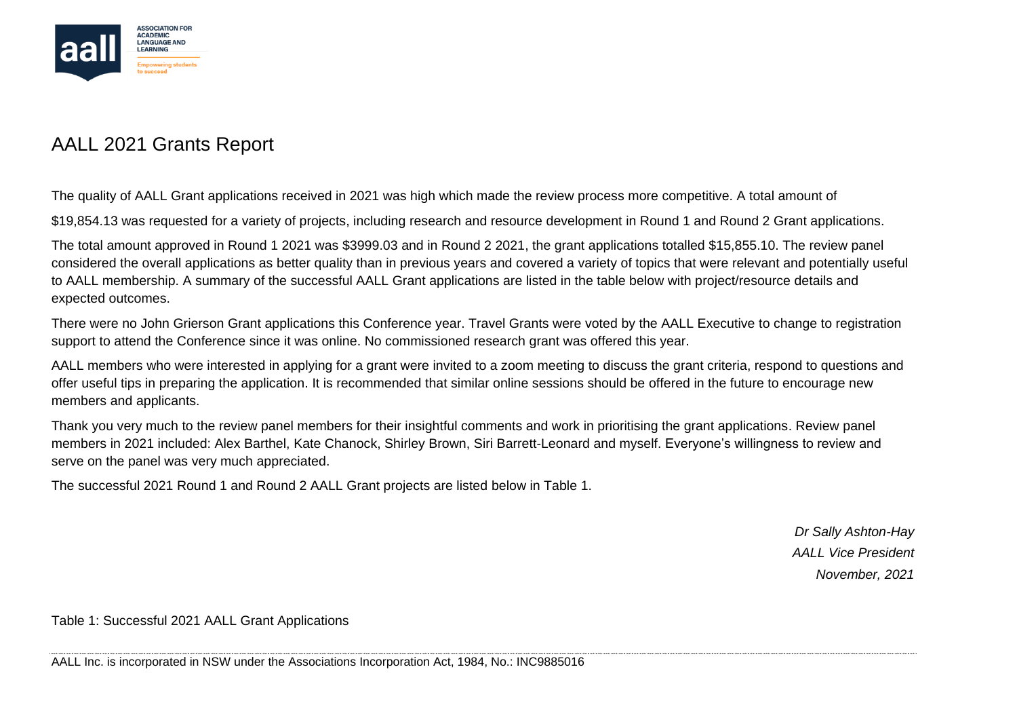

## AALL 2021 Grants Report

The quality of AALL Grant applications received in 2021 was high which made the review process more competitive. A total amount of

\$19,854.13 was requested for a variety of projects, including research and resource development in Round 1 and Round 2 Grant applications.

The total amount approved in Round 1 2021 was \$3999.03 and in Round 2 2021, the grant applications totalled \$15,855.10. The review panel considered the overall applications as better quality than in previous years and covered a variety of topics that were relevant and potentially useful to AALL membership. A summary of the successful AALL Grant applications are listed in the table below with project/resource details and expected outcomes.

There were no John Grierson Grant applications this Conference year. Travel Grants were voted by the AALL Executive to change to registration support to attend the Conference since it was online. No commissioned research grant was offered this year.

AALL members who were interested in applying for a grant were invited to a zoom meeting to discuss the grant criteria, respond to questions and offer useful tips in preparing the application. It is recommended that similar online sessions should be offered in the future to encourage new members and applicants.

Thank you very much to the review panel members for their insightful comments and work in prioritising the grant applications. Review panel members in 2021 included: Alex Barthel, Kate Chanock, Shirley Brown, Siri Barrett-Leonard and myself. Everyone's willingness to review and serve on the panel was very much appreciated.

The successful 2021 Round 1 and Round 2 AALL Grant projects are listed below in Table 1.

*Dr Sally Ashton-Hay AALL Vice President November, 2021*

Table 1: Successful 2021 AALL Grant Applications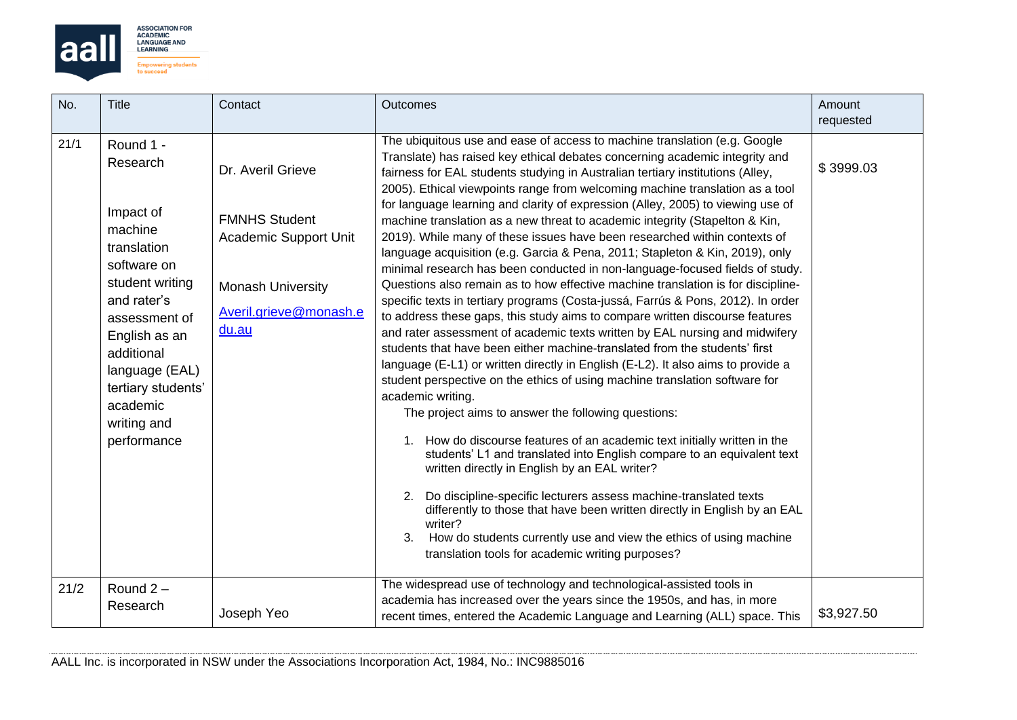

| No.  | <b>Title</b>                                                                                                                                                                                                                                    | Contact                                                                                                                                  | Outcomes                                                                                                                                                                                                                                                                                                                                                                                                                                                                                                                                                                                                                                                                                                                                                                                                                                                                                                                                                                                                                                                                                                                                                                                                                                                                                                                                                                                                                                                                                                                                                                                                                                                                                                                                                                                                                                                                                                                | Amount<br>requested |
|------|-------------------------------------------------------------------------------------------------------------------------------------------------------------------------------------------------------------------------------------------------|------------------------------------------------------------------------------------------------------------------------------------------|-------------------------------------------------------------------------------------------------------------------------------------------------------------------------------------------------------------------------------------------------------------------------------------------------------------------------------------------------------------------------------------------------------------------------------------------------------------------------------------------------------------------------------------------------------------------------------------------------------------------------------------------------------------------------------------------------------------------------------------------------------------------------------------------------------------------------------------------------------------------------------------------------------------------------------------------------------------------------------------------------------------------------------------------------------------------------------------------------------------------------------------------------------------------------------------------------------------------------------------------------------------------------------------------------------------------------------------------------------------------------------------------------------------------------------------------------------------------------------------------------------------------------------------------------------------------------------------------------------------------------------------------------------------------------------------------------------------------------------------------------------------------------------------------------------------------------------------------------------------------------------------------------------------------------|---------------------|
| 21/1 | Round 1 -<br>Research<br>Impact of<br>machine<br>translation<br>software on<br>student writing<br>and rater's<br>assessment of<br>English as an<br>additional<br>language (EAL)<br>tertiary students'<br>academic<br>writing and<br>performance | Dr. Averil Grieve<br><b>FMNHS Student</b><br><b>Academic Support Unit</b><br><b>Monash University</b><br>Averil.grieve@monash.e<br>du.au | The ubiquitous use and ease of access to machine translation (e.g. Google<br>Translate) has raised key ethical debates concerning academic integrity and<br>fairness for EAL students studying in Australian tertiary institutions (Alley,<br>2005). Ethical viewpoints range from welcoming machine translation as a tool<br>for language learning and clarity of expression (Alley, 2005) to viewing use of<br>machine translation as a new threat to academic integrity (Stapelton & Kin,<br>2019). While many of these issues have been researched within contexts of<br>language acquisition (e.g. Garcia & Pena, 2011; Stapleton & Kin, 2019), only<br>minimal research has been conducted in non-language-focused fields of study.<br>Questions also remain as to how effective machine translation is for discipline-<br>specific texts in tertiary programs (Costa-jussá, Farrús & Pons, 2012). In order<br>to address these gaps, this study aims to compare written discourse features<br>and rater assessment of academic texts written by EAL nursing and midwifery<br>students that have been either machine-translated from the students' first<br>language (E-L1) or written directly in English (E-L2). It also aims to provide a<br>student perspective on the ethics of using machine translation software for<br>academic writing.<br>The project aims to answer the following questions:<br>1. How do discourse features of an academic text initially written in the<br>students' L1 and translated into English compare to an equivalent text<br>written directly in English by an EAL writer?<br>Do discipline-specific lecturers assess machine-translated texts<br>2.<br>differently to those that have been written directly in English by an EAL<br>writer?<br>How do students currently use and view the ethics of using machine<br>3.<br>translation tools for academic writing purposes? | \$3999.03           |
| 21/2 | Round $2 -$<br>Research                                                                                                                                                                                                                         | Joseph Yeo                                                                                                                               | The widespread use of technology and technological-assisted tools in<br>academia has increased over the years since the 1950s, and has, in more<br>recent times, entered the Academic Language and Learning (ALL) space. This                                                                                                                                                                                                                                                                                                                                                                                                                                                                                                                                                                                                                                                                                                                                                                                                                                                                                                                                                                                                                                                                                                                                                                                                                                                                                                                                                                                                                                                                                                                                                                                                                                                                                           | \$3,927.50          |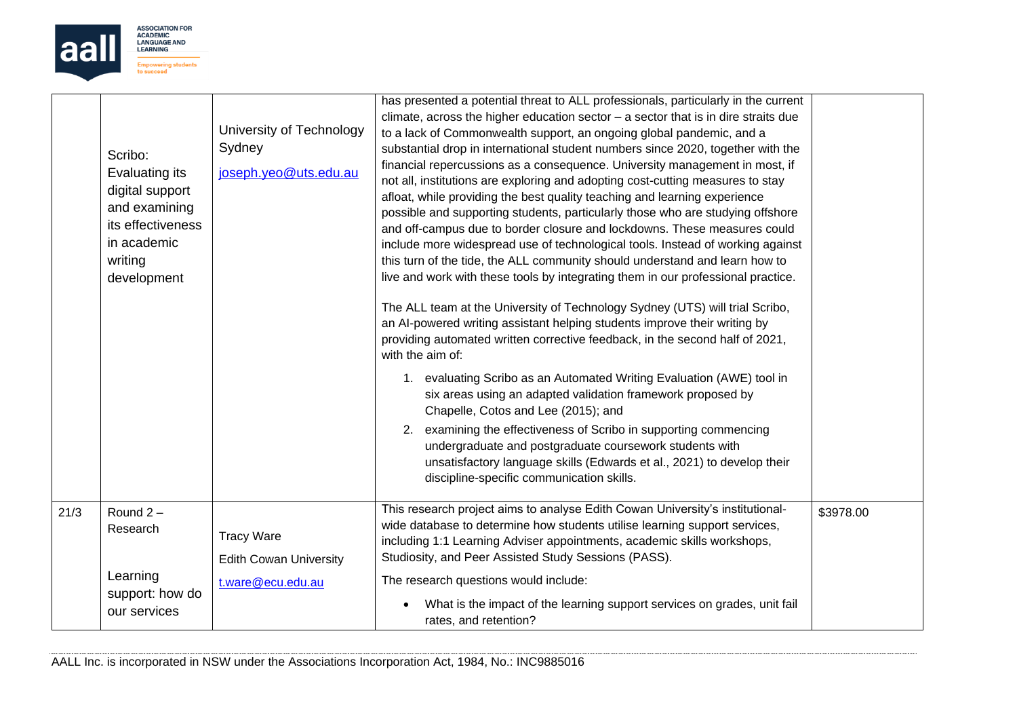

|      | Scribo:<br>Evaluating its<br>digital support<br>and examining<br>its effectiveness<br>in academic<br>writing<br>development | University of Technology<br>Sydney<br>joseph.yeo@uts.edu.au | has presented a potential threat to ALL professionals, particularly in the current<br>climate, across the higher education sector $-$ a sector that is in dire straits due<br>to a lack of Commonwealth support, an ongoing global pandemic, and a<br>substantial drop in international student numbers since 2020, together with the<br>financial repercussions as a consequence. University management in most, if<br>not all, institutions are exploring and adopting cost-cutting measures to stay<br>afloat, while providing the best quality teaching and learning experience<br>possible and supporting students, particularly those who are studying offshore<br>and off-campus due to border closure and lockdowns. These measures could<br>include more widespread use of technological tools. Instead of working against<br>this turn of the tide, the ALL community should understand and learn how to<br>live and work with these tools by integrating them in our professional practice.<br>The ALL team at the University of Technology Sydney (UTS) will trial Scribo,<br>an AI-powered writing assistant helping students improve their writing by<br>providing automated written corrective feedback, in the second half of 2021,<br>with the aim of:<br>1. evaluating Scribo as an Automated Writing Evaluation (AWE) tool in<br>six areas using an adapted validation framework proposed by<br>Chapelle, Cotos and Lee (2015); and<br>2. examining the effectiveness of Scribo in supporting commencing<br>undergraduate and postgraduate coursework students with<br>unsatisfactory language skills (Edwards et al., 2021) to develop their<br>discipline-specific communication skills. |           |
|------|-----------------------------------------------------------------------------------------------------------------------------|-------------------------------------------------------------|---------------------------------------------------------------------------------------------------------------------------------------------------------------------------------------------------------------------------------------------------------------------------------------------------------------------------------------------------------------------------------------------------------------------------------------------------------------------------------------------------------------------------------------------------------------------------------------------------------------------------------------------------------------------------------------------------------------------------------------------------------------------------------------------------------------------------------------------------------------------------------------------------------------------------------------------------------------------------------------------------------------------------------------------------------------------------------------------------------------------------------------------------------------------------------------------------------------------------------------------------------------------------------------------------------------------------------------------------------------------------------------------------------------------------------------------------------------------------------------------------------------------------------------------------------------------------------------------------------------------------------------------------------------------------------------------------------------|-----------|
| 21/3 | Round $2 -$<br>Research                                                                                                     | <b>Tracy Ware</b><br><b>Edith Cowan University</b>          | This research project aims to analyse Edith Cowan University's institutional-<br>wide database to determine how students utilise learning support services,<br>including 1:1 Learning Adviser appointments, academic skills workshops,<br>Studiosity, and Peer Assisted Study Sessions (PASS).                                                                                                                                                                                                                                                                                                                                                                                                                                                                                                                                                                                                                                                                                                                                                                                                                                                                                                                                                                                                                                                                                                                                                                                                                                                                                                                                                                                                                | \$3978.00 |
|      | Learning<br>support: how do<br>our services                                                                                 | t.ware@ecu.edu.au                                           | The research questions would include:<br>What is the impact of the learning support services on grades, unit fail<br>rates, and retention?                                                                                                                                                                                                                                                                                                                                                                                                                                                                                                                                                                                                                                                                                                                                                                                                                                                                                                                                                                                                                                                                                                                                                                                                                                                                                                                                                                                                                                                                                                                                                                    |           |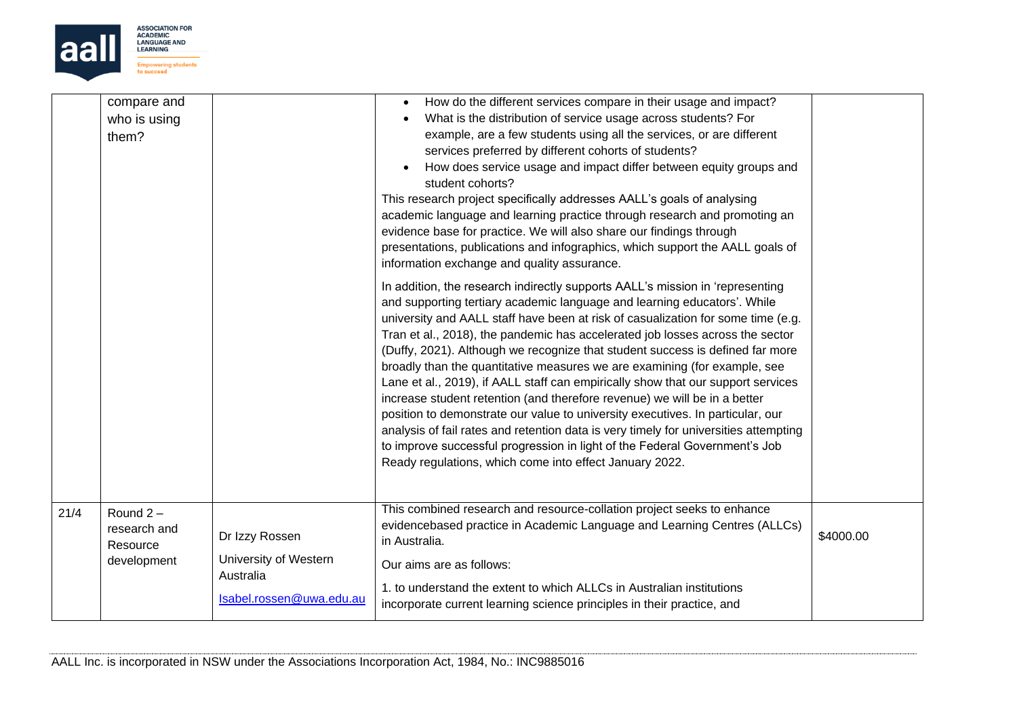

|      | compare and<br>who is using<br>them?    |                                                                | How do the different services compare in their usage and impact?<br>What is the distribution of service usage across students? For<br>example, are a few students using all the services, or are different<br>services preferred by different cohorts of students?                                                                                                                                                                                                                                                                                                                                                                                                                                                                                                                                                                                                                                                                                                               |           |
|------|-----------------------------------------|----------------------------------------------------------------|----------------------------------------------------------------------------------------------------------------------------------------------------------------------------------------------------------------------------------------------------------------------------------------------------------------------------------------------------------------------------------------------------------------------------------------------------------------------------------------------------------------------------------------------------------------------------------------------------------------------------------------------------------------------------------------------------------------------------------------------------------------------------------------------------------------------------------------------------------------------------------------------------------------------------------------------------------------------------------|-----------|
|      |                                         |                                                                | How does service usage and impact differ between equity groups and<br>student cohorts?<br>This research project specifically addresses AALL's goals of analysing<br>academic language and learning practice through research and promoting an<br>evidence base for practice. We will also share our findings through<br>presentations, publications and infographics, which support the AALL goals of<br>information exchange and quality assurance.                                                                                                                                                                                                                                                                                                                                                                                                                                                                                                                             |           |
|      |                                         |                                                                | In addition, the research indirectly supports AALL's mission in 'representing<br>and supporting tertiary academic language and learning educators'. While<br>university and AALL staff have been at risk of casualization for some time (e.g.<br>Tran et al., 2018), the pandemic has accelerated job losses across the sector<br>(Duffy, 2021). Although we recognize that student success is defined far more<br>broadly than the quantitative measures we are examining (for example, see<br>Lane et al., 2019), if AALL staff can empirically show that our support services<br>increase student retention (and therefore revenue) we will be in a better<br>position to demonstrate our value to university executives. In particular, our<br>analysis of fail rates and retention data is very timely for universities attempting<br>to improve successful progression in light of the Federal Government's Job<br>Ready regulations, which come into effect January 2022. |           |
| 21/4 | Round $2 -$<br>research and<br>Resource | Dr Izzy Rossen                                                 | This combined research and resource-collation project seeks to enhance<br>evidencebased practice in Academic Language and Learning Centres (ALLCs)<br>in Australia.                                                                                                                                                                                                                                                                                                                                                                                                                                                                                                                                                                                                                                                                                                                                                                                                              | \$4000.00 |
|      | development                             | University of Western<br>Australia<br>Isabel.rossen@uwa.edu.au | Our aims are as follows:<br>1. to understand the extent to which ALLCs in Australian institutions<br>incorporate current learning science principles in their practice, and                                                                                                                                                                                                                                                                                                                                                                                                                                                                                                                                                                                                                                                                                                                                                                                                      |           |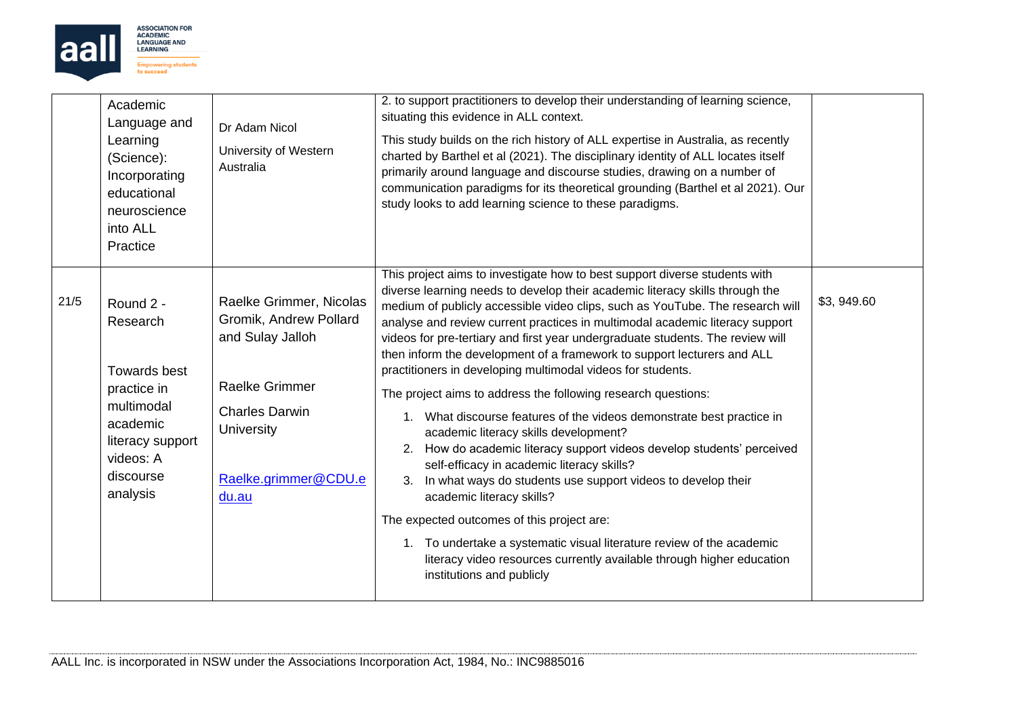

|      | Academic<br>Language and<br>Learning<br>(Science):<br>Incorporating<br>educational<br>neuroscience<br>into ALL<br>Practice                      | Dr Adam Nicol<br>University of Western<br>Australia                                                                                                                           | 2. to support practitioners to develop their understanding of learning science,<br>situating this evidence in ALL context.<br>This study builds on the rich history of ALL expertise in Australia, as recently<br>charted by Barthel et al (2021). The disciplinary identity of ALL locates itself<br>primarily around language and discourse studies, drawing on a number of<br>communication paradigms for its theoretical grounding (Barthel et al 2021). Our<br>study looks to add learning science to these paradigms.<br>This project aims to investigate how to best support diverse students with                                                                                                                                                                                                                                                                                                                                                                                                                                                                                                            |            |
|------|-------------------------------------------------------------------------------------------------------------------------------------------------|-------------------------------------------------------------------------------------------------------------------------------------------------------------------------------|----------------------------------------------------------------------------------------------------------------------------------------------------------------------------------------------------------------------------------------------------------------------------------------------------------------------------------------------------------------------------------------------------------------------------------------------------------------------------------------------------------------------------------------------------------------------------------------------------------------------------------------------------------------------------------------------------------------------------------------------------------------------------------------------------------------------------------------------------------------------------------------------------------------------------------------------------------------------------------------------------------------------------------------------------------------------------------------------------------------------|------------|
| 21/5 | Round 2 -<br>Research<br><b>Towards best</b><br>practice in<br>multimodal<br>academic<br>literacy support<br>videos: A<br>discourse<br>analysis | Raelke Grimmer, Nicolas<br>Gromik, Andrew Pollard<br>and Sulay Jalloh<br><b>Raelke Grimmer</b><br><b>Charles Darwin</b><br><b>University</b><br>Raelke.grimmer@CDU.e<br>du.au | diverse learning needs to develop their academic literacy skills through the<br>medium of publicly accessible video clips, such as YouTube. The research will<br>analyse and review current practices in multimodal academic literacy support<br>videos for pre-tertiary and first year undergraduate students. The review will<br>then inform the development of a framework to support lecturers and ALL<br>practitioners in developing multimodal videos for students.<br>The project aims to address the following research questions:<br>1. What discourse features of the videos demonstrate best practice in<br>academic literacy skills development?<br>2. How do academic literacy support videos develop students' perceived<br>self-efficacy in academic literacy skills?<br>In what ways do students use support videos to develop their<br>3.<br>academic literacy skills?<br>The expected outcomes of this project are:<br>1. To undertake a systematic visual literature review of the academic<br>literacy video resources currently available through higher education<br>institutions and publicly | \$3,949.60 |